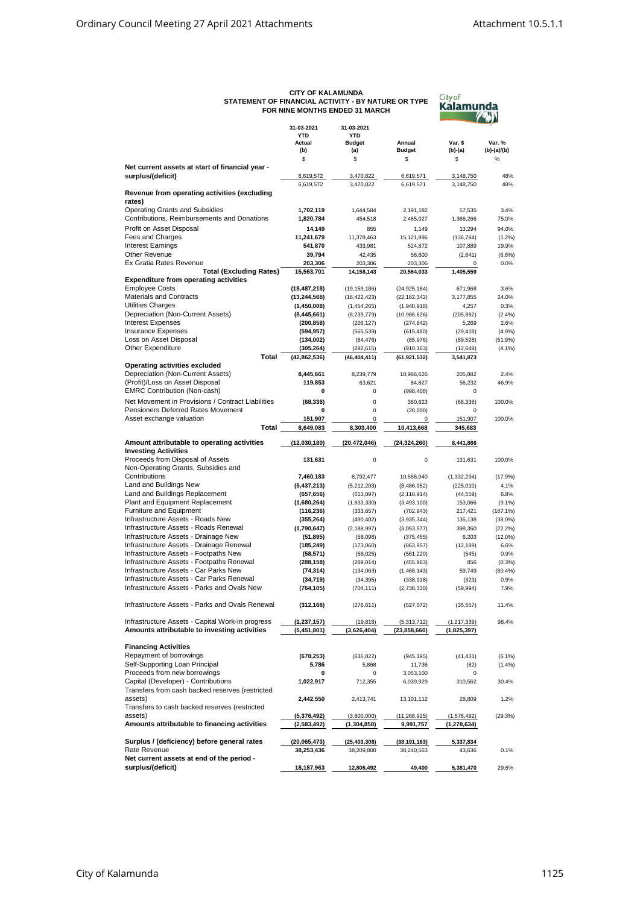| <b>CITY OF KALAMUNDA</b>                            |
|-----------------------------------------------------|
| STATEMENT OF FINANCIAL ACTIVITY - BY NATURE OR TYPE |
| FOR NINE MONTHS ENDED 31 MARCH                      |



|                                                   | 31-03-2021                   | 31-03-2021<br>YTD    |                      |               |             |
|---------------------------------------------------|------------------------------|----------------------|----------------------|---------------|-------------|
|                                                   | <b>YTD</b><br>Actual         |                      | Annual               | Var. \$       | Var. %      |
|                                                   | (b)                          | <b>Budget</b><br>(a) | <b>Budget</b>        | (b)-(a)       | (b)-(a)/(b) |
|                                                   | \$                           | \$                   | \$                   | \$            | %           |
| Net current assets at start of financial year -   |                              |                      |                      |               |             |
| surplus/(deficit)                                 | 6,619,572                    | 3,470,822            | 6,619,571            | 3,148,750     | 48%         |
|                                                   | 6,619,572                    | 3,470,822            | 6,619,571            | 3,148,750     | 48%         |
| Revenue from operating activities (excluding      |                              |                      |                      |               |             |
| rates)                                            |                              |                      |                      |               |             |
| <b>Operating Grants and Subsidies</b>             | 1,702,119                    | 1,644,584            | 2,191,182            | 57,535        | 3.4%        |
| Contributions, Reimbursements and Donations       | 1,820,784                    | 454,518              | 2,465,027            | 1,366,266     | 75.0%       |
| Profit on Asset Disposal                          | 14,149                       | 855                  | 1,149                | 13,294        | 94.0%       |
| Fees and Charges                                  | 11,241,679                   | 11,378,463           | 15,121,896           | (136, 784)    | (1.2%)      |
| <b>Interest Earnings</b>                          | 541,870                      | 433,981              | 524,872              | 107,889       | 19.9%       |
| Other Revenue                                     | 39,794                       | 42,435               | 56,600               | (2,641)       | $(6.6\%)$   |
| Ex Gratia Rates Revenue                           | 203,306                      | 203,306              | 203,306              | 0             | 0.0%        |
| <b>Total (Excluding Rates)</b>                    | 15,563,701                   | 14,158,143           | 20,564,033           | 1,405,559     |             |
| <b>Expenditure from operating activities</b>      |                              |                      |                      |               |             |
| <b>Employee Costs</b>                             | (18, 487, 218)               | (19, 159, 186)       | (24, 925, 184)       | 671,968       | 3.6%        |
| <b>Materials and Contracts</b>                    | (13, 244, 568)               | (16, 422, 423)       | (22, 182, 342)       | 3,177,855     | 24.0%       |
| Utilities Charges                                 | (1,450,008)                  | (1,454,265)          | (1,940,918)          | 4,257         | 0.3%        |
| Depreciation (Non-Current Assets)                 | (8,445,661)                  | (8, 239, 779)        | (10,986,626)         | (205, 882)    | (2.4%)      |
| <b>Interest Expenses</b>                          | (200, 858)                   | (206, 127)           | (274, 842)           | 5,269         | 2.6%        |
| <b>Insurance Expenses</b>                         | (594, 957)                   | (565, 539)           | (615, 480)           | (29, 418)     | (4.9%)      |
| Loss on Asset Disposal<br>Other Expenditure       | (134,002)                    | (64, 476)            | (85,976)             | (69, 526)     | (51.9%)     |
| Total                                             | (305, 264)<br>(42, 862, 536) | (292, 615)           | (910, 163)           | (12, 649)     | (4.1%)      |
| <b>Operating activities excluded</b>              |                              | (46, 404, 411)       | (61, 921, 532)       | 3,541,873     |             |
| Depreciation (Non-Current Assets)                 | 8,445,661                    | 8,239,779            |                      | 205,882       | 2.4%        |
| (Profit)/Loss on Asset Disposal                   | 119,853                      | 63,621               | 10,986,626<br>84,827 | 56,232        | 46.9%       |
| <b>EMRC Contribution (Non-cash)</b>               | 0                            | $\mathbf 0$          |                      |               |             |
|                                                   |                              |                      | (998, 408)           | 0             |             |
| Net Movement in Provisions / Contract Liabilities | (68, 338)                    | $\mathbf 0$          | 360,623              | (68, 338)     | 100.0%      |
| Pensioners Deferred Rates Movement                | 0                            | $\mathbf 0$          | (20,000)             | 0             |             |
| Asset exchange valuation                          | 151.907                      | 0                    | $\Omega$             | 151,907       | 100.0%      |
| Total                                             | 8,649,083                    | 8,303,400            | 10,413,668           | 345,683       |             |
| Amount attributable to operating activities       | (12,030,180)                 | (20, 472, 046)       | (24, 324, 260)       | 8,441,866     |             |
| <b>Investing Activities</b>                       |                              |                      |                      |               |             |
| Proceeds from Disposal of Assets                  | 131,631                      | $\mathbf 0$          | $\mathbf 0$          | 131,631       | 100.0%      |
| Non-Operating Grants, Subsidies and               |                              |                      |                      |               |             |
| Contributions                                     | 7,460,183                    | 8,792,477            | 10,566,940           | (1, 332, 294) | (17.9%)     |
| Land and Buildings New                            | (5,437,213)                  | (5,212,203)          | (8,486,952)          | (225, 010)    | 4.1%        |
| Land and Buildings Replacement                    | (657, 656)                   | (613,097)            | (2, 110, 914)        | (44, 559)     | 6.8%        |
| Plant and Equipment Replacement                   | (1,680,264)                  | (1,833,330)          | (3,493,100)          | 153,066       | $(9.1\%)$   |
| Furniture and Equipment                           | (116,236)                    | (333, 657)           | (702, 943)           | 217,421       | (187.1%)    |
| Infrastructure Assets - Roads New                 | (355, 264)                   | (490, 402)           | (3,935,344)          | 135,138       | $(38.0\%)$  |
| Infrastructure Assets - Roads Renewal             | (1,790,647)                  | (2, 188, 997)        | (3,053,577)          | 398,350       | (22.2%)     |
| Infrastructure Assets - Drainage New              | (51, 895)                    | (58,098)             | (375, 455)           | 6,203         | $(12.0\%)$  |
| Infrastructure Assets - Drainage Renewal          | (185, 249)                   | (173,060)            | (863, 957)           | (12, 189)     | 6.6%        |
| Infrastructure Assets - Footpaths New             | (58, 571)                    | (58,025)             | (561, 220)           | (545)         | 0.9%        |
| Infrastructure Assets - Footpaths Renewal         | (288, 158)                   | (289, 014)           | (455, 963)           | 856           | (0.3%)      |
| Infrastructure Assets - Car Parks New             | (74, 314)                    | (134, 063)           | (1,468,143)          | 59,749        | (80.4%)     |
| Infrastructure Assets - Car Parks Renewal         | (34, 719)                    | (34, 395)            | (338, 918)           | (323)         | 0.9%        |
| Infrastructure Assets - Parks and Ovals New       | (764,105)                    | (704, 111)           | (2,738,330)          | (59, 994)     | 7.9%        |
|                                                   |                              |                      |                      |               |             |
| Infrastructure Assets - Parks and Ovals Renewal   | (312, 168)                   | (276, 611)           | (527, 072)           | (35, 557)     | 11.4%       |
|                                                   |                              |                      |                      |               |             |
| Infrastructure Assets - Capital Work-in progress  | (1, 237, 157)                | (19, 818)            | (5,313,712)          | (1, 217, 339) | 98.4%       |
| Amounts attributable to investing activities      | (5,451,801)                  | (3,626,404)          | (23,858,660)         | (1,825,397)   |             |
|                                                   |                              |                      |                      |               |             |
| <b>Financing Activities</b>                       |                              |                      |                      |               |             |
| Repayment of borrowings                           | (678, 253)                   | (636, 822)           | (945, 195)           | (41, 431)     | (6.1%)      |
| Self-Supporting Loan Principal                    | 5,786                        | 5,868                | 11,736               | (82)          | (1.4%)      |
| Proceeds from new borrowings                      | 0                            | 0                    | 3,053,100            | 0             |             |
| Capital (Developer) - Contributions               | 1,022,917                    | 712,355              | 6,039,929            | 310,562       | 30.4%       |
| Transfers from cash backed reserves (restricted   |                              |                      |                      |               |             |
| assets)                                           | 2,442,550                    | 2,413,741            | 13,101,112           | 28,809        | 1.2%        |
| Transfers to cash backed reserves (restricted     |                              |                      |                      |               |             |
| assets)                                           | (5,376,492)                  | (3,800,000)          | (11, 268, 925)       | (1,576,492)   | (29.3%)     |
| Amounts attributable to financing activities      | (2,583,492)                  | (1,304,858)          | 9,991,757            | (1,278,634)   |             |
|                                                   |                              |                      |                      |               |             |
| Surplus / (deficiency) before general rates       | (20,065,473)                 | (25, 403, 308)       | (38, 191, 163)       | 5,337,834     |             |
| Rate Revenue                                      | 38,253,436                   | 38,209,800           | 38,240,563           | 43,636        | 0.1%        |
| Net current assets at end of the period -         |                              |                      |                      |               |             |
| surplus/(deficit)                                 | 18,187,963                   | 12,806,492           | 49,400               | 5,381,470     | 29.6%       |